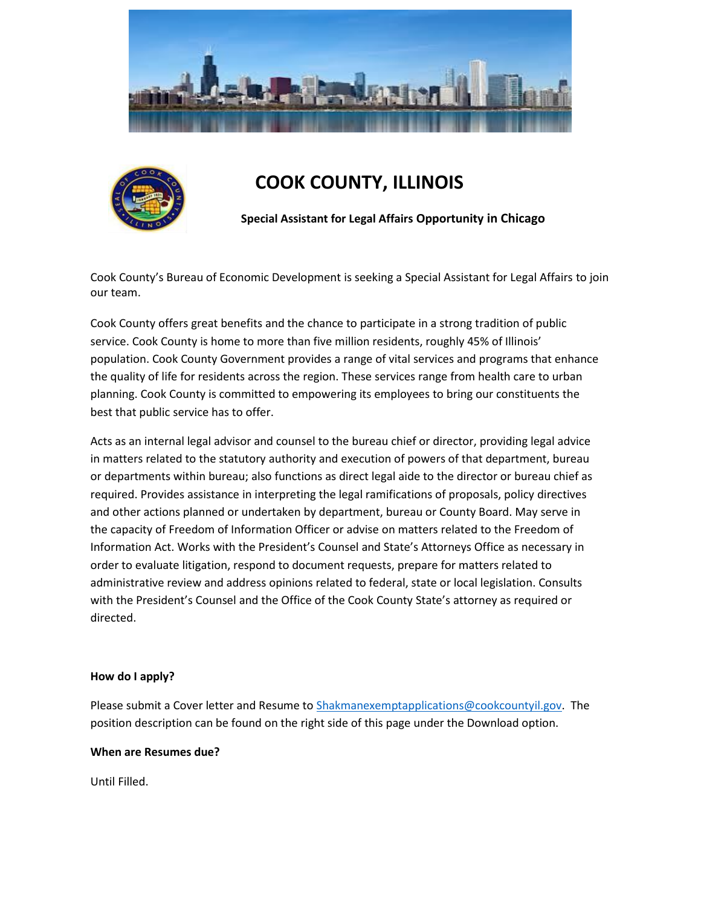



# **COOK COUNTY, ILLINOIS**

**Special Assistant for Legal Affairs Opportunity in Chicago**

Cook County's Bureau of Economic Development is seeking a Special Assistant for Legal Affairs to join our team.

Cook County offers great benefits and the chance to participate in a strong tradition of public service. Cook County is home to more than five million residents, roughly 45% of Illinois' population. Cook County Government provides a range of vital services and programs that enhance the quality of life for residents across the region. These services range from health care to urban planning. Cook County is committed to empowering its employees to bring our constituents the best that public service has to offer.

Acts as an internal legal advisor and counsel to the bureau chief or director, providing legal advice in matters related to the statutory authority and execution of powers of that department, bureau or departments within bureau; also functions as direct legal aide to the director or bureau chief as required. Provides assistance in interpreting the legal ramifications of proposals, policy directives and other actions planned or undertaken by department, bureau or County Board. May serve in the capacity of Freedom of Information Officer or advise on matters related to the Freedom of Information Act. Works with the President's Counsel and State's Attorneys Office as necessary in order to evaluate litigation, respond to document requests, prepare for matters related to administrative review and address opinions related to federal, state or local legislation. Consults with the President's Counsel and the Office of the Cook County State's attorney as required or directed.

## **How do I apply?**

Please submit a Cover letter and Resume to [Shakmanexemptapplications@cookcountyil.gov.](mailto:Shakmanexemptapplications@cookcountyil.gov) The position description can be found on the right side of this page under the Download option.

## **When are Resumes due?**

Until Filled.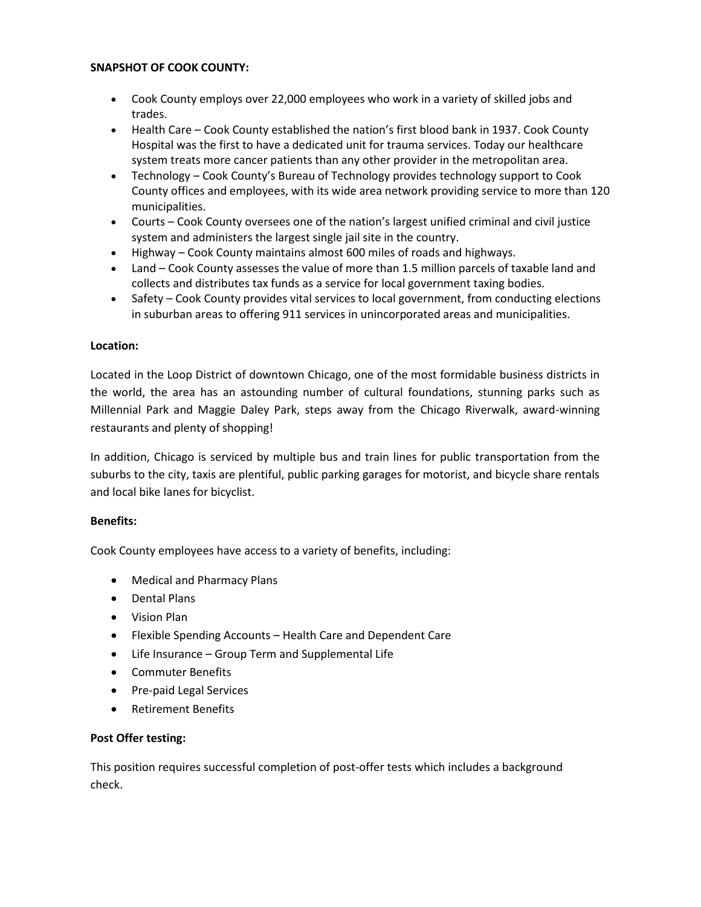## **SNAPSHOT OF COOK COUNTY:**

- Cook County employs over 22,000 employees who work in a variety of skilled jobs and trades.
- Health Care Cook County established the nation's first blood bank in 1937. Cook County Hospital was the first to have a dedicated unit for trauma services. Today our healthcare system treats more cancer patients than any other provider in the metropolitan area.
- Technology Cook County's Bureau of Technology provides technology support to Cook County offices and employees, with its wide area network providing service to more than 120 municipalities.
- Courts Cook County oversees one of the nation's largest unified criminal and civil justice system and administers the largest single jail site in the country.
- Highway Cook County maintains almost 600 miles of roads and highways.
- Land Cook County assesses the value of more than 1.5 million parcels of taxable land and collects and distributes tax funds as a service for local government taxing bodies.
- Safety Cook County provides vital services to local government, from conducting elections in suburban areas to offering 911 services in unincorporated areas and municipalities.

## **Location:**

Located in the Loop District of downtown Chicago, one of the most formidable business districts in the world, the area has an astounding number of cultural foundations, stunning parks such as Millennial Park and Maggie Daley Park, steps away from the Chicago Riverwalk, award-winning restaurants and plenty of shopping!

In addition, Chicago is serviced by multiple bus and train lines for public transportation from the suburbs to the city, taxis are plentiful, public parking garages for motorist, and bicycle share rentals and local bike lanes for bicyclist.

## **Benefits:**

Cook County employees have access to a variety of benefits, including:

- Medical and Pharmacy Plans
- Dental Plans
- Vision Plan
- Flexible Spending Accounts Health Care and Dependent Care
- Life Insurance Group Term and Supplemental Life
- Commuter Benefits
- Pre-paid Legal Services
- Retirement Benefits

# **Post Offer testing:**

This position requires successful completion of post-offer tests which includes a background check.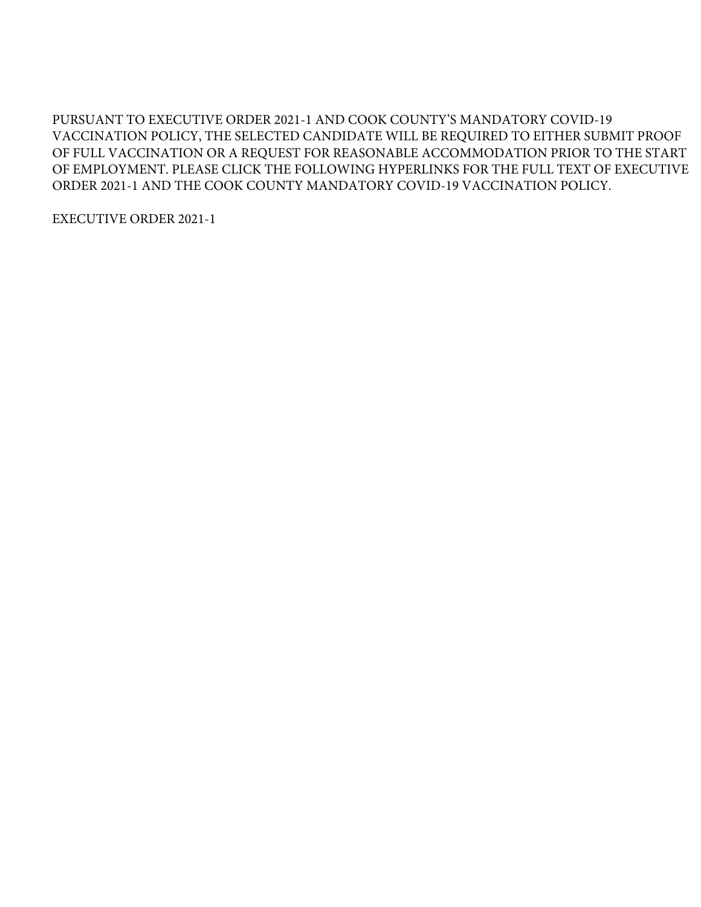PURSUANT TO EXECUTIVE ORDER 2021-1 AND COOK COUNTY'S MANDATORY COVID-19 VACCINATION POLICY, THE SELECTED CANDIDATE WILL BE REQUIRED TO EITHER SUBMIT PROOF OF FULL VACCINATION OR A REQUEST FOR REASONABLE ACCOMMODATION PRIOR TO THE START OF EMPLOYMENT. PLEASE CLICK THE FOLLOWING HYPERLINKS FOR THE FULL TEXT OF EXECUTIVE ORDER 2021-1 AND THE COOK COUNTY MANDATORY COVID-19 VACCINATION POLICY.

EXECUTIVE ORDER 2021-1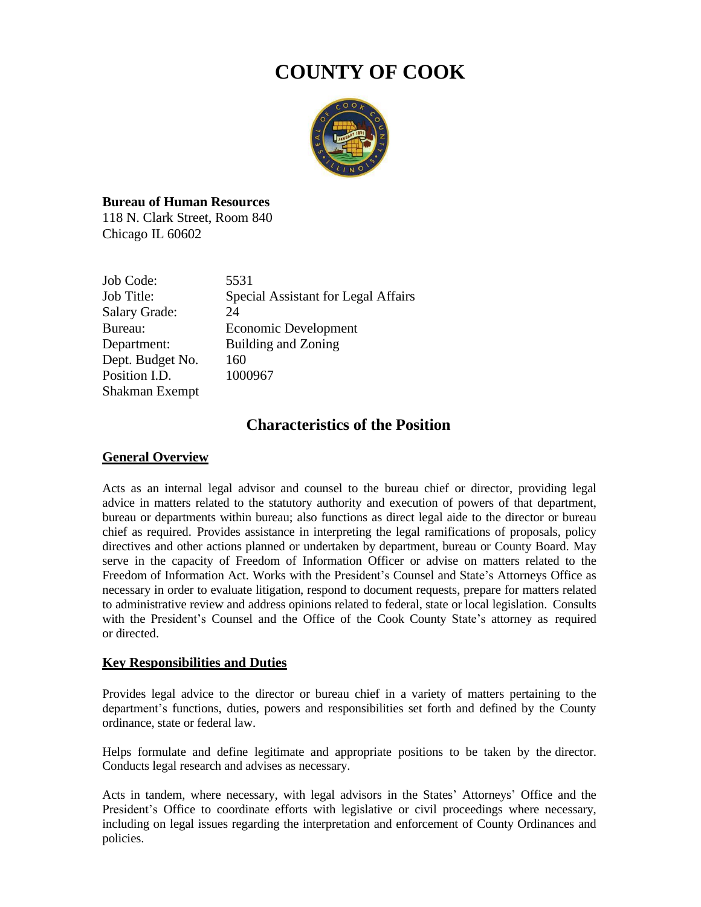# **COUNTY OF COOK**



# **Bureau of Human Resources**

118 N. Clark Street, Room 840 Chicago IL 60602

| Job Code:            | 5531                                |
|----------------------|-------------------------------------|
| Job Title:           | Special Assistant for Legal Affairs |
| <b>Salary Grade:</b> | 24                                  |
| Bureau:              | Economic Development                |
| Department:          | Building and Zoning                 |
| Dept. Budget No.     | 160                                 |
| Position I.D.        | 1000967                             |
| Shakman Exempt       |                                     |

# **Characteristics of the Position**

# **General Overview**

Acts as an internal legal advisor and counsel to the bureau chief or director, providing legal advice in matters related to the statutory authority and execution of powers of that department, bureau or departments within bureau; also functions as direct legal aide to the director or bureau chief as required. Provides assistance in interpreting the legal ramifications of proposals, policy directives and other actions planned or undertaken by department, bureau or County Board. May serve in the capacity of Freedom of Information Officer or advise on matters related to the Freedom of Information Act. Works with the President's Counsel and State's Attorneys Office as necessary in order to evaluate litigation, respond to document requests, prepare for matters related to administrative review and address opinions related to federal, state or local legislation. Consults with the President's Counsel and the Office of the Cook County State's attorney as required or directed.

# **Key Responsibilities and Duties**

Provides legal advice to the director or bureau chief in a variety of matters pertaining to the department's functions, duties, powers and responsibilities set forth and defined by the County ordinance, state or federal law.

Helps formulate and define legitimate and appropriate positions to be taken by the director. Conducts legal research and advises as necessary.

Acts in tandem, where necessary, with legal advisors in the States' Attorneys' Office and the President's Office to coordinate efforts with legislative or civil proceedings where necessary, including on legal issues regarding the interpretation and enforcement of County Ordinances and policies.